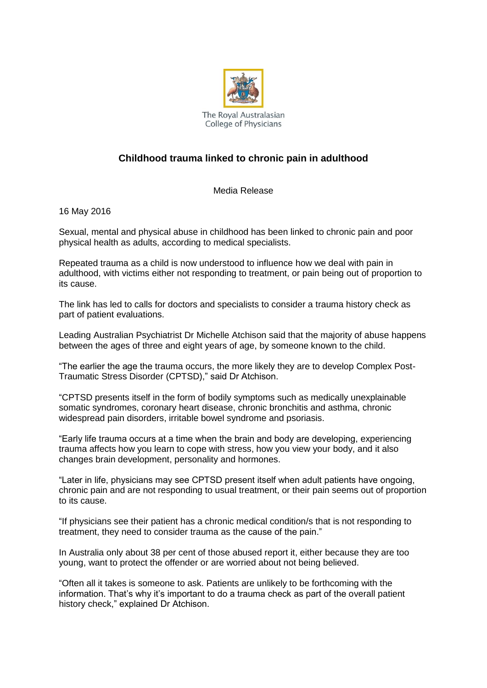

## **Childhood trauma linked to chronic pain in adulthood**

Media Release

16 May 2016

Sexual, mental and physical abuse in childhood has been linked to chronic pain and poor physical health as adults, according to medical specialists.

Repeated trauma as a child is now understood to influence how we deal with pain in adulthood, with victims either not responding to treatment, or pain being out of proportion to its cause.

The link has led to calls for doctors and specialists to consider a trauma history check as part of patient evaluations.

Leading Australian Psychiatrist Dr Michelle Atchison said that the majority of abuse happens between the ages of three and eight years of age, by someone known to the child.

"The earlier the age the trauma occurs, the more likely they are to develop Complex Post-Traumatic Stress Disorder (CPTSD)," said Dr Atchison.

"CPTSD presents itself in the form of bodily symptoms such as medically unexplainable somatic syndromes, coronary heart disease, chronic bronchitis and asthma, chronic widespread pain disorders, irritable bowel syndrome and psoriasis.

"Early life trauma occurs at a time when the brain and body are developing, experiencing trauma affects how you learn to cope with stress, how you view your body, and it also changes brain development, personality and hormones.

"Later in life, physicians may see CPTSD present itself when adult patients have ongoing, chronic pain and are not responding to usual treatment, or their pain seems out of proportion to its cause.

"If physicians see their patient has a chronic medical condition/s that is not responding to treatment, they need to consider trauma as the cause of the pain."

In Australia only about 38 per cent of those abused report it, either because they are too young, want to protect the offender or are worried about not being believed.

"Often all it takes is someone to ask. Patients are unlikely to be forthcoming with the information. That's why it's important to do a trauma check as part of the overall patient history check," explained Dr Atchison.